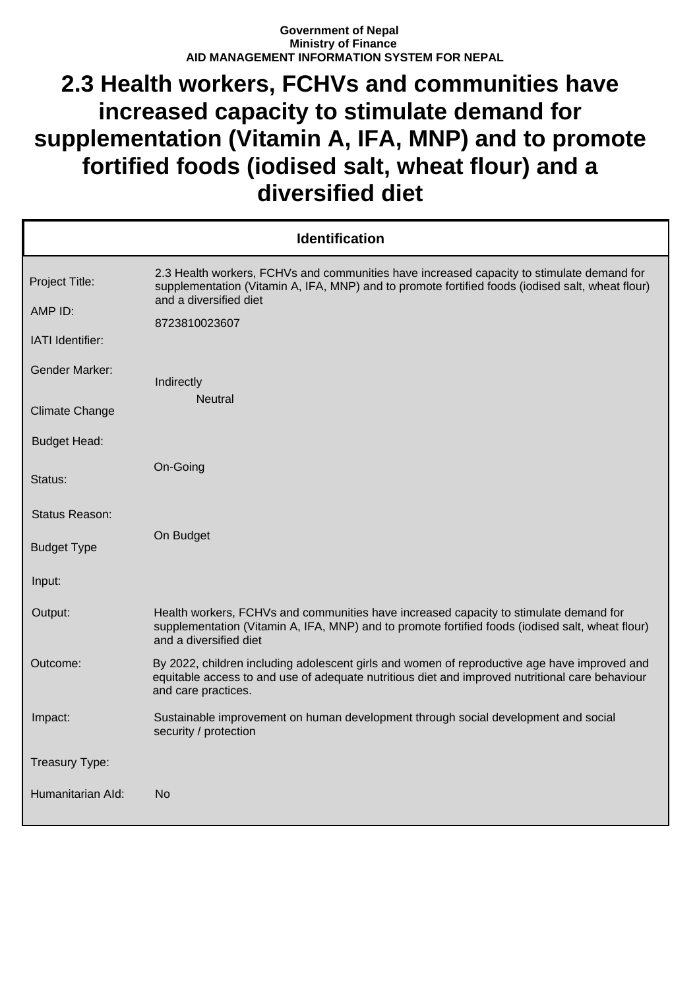## **Government of Nepal Ministry of Finance AID MANAGEMENT INFORMATION SYSTEM FOR NEPAL**

## **2.3 Health workers, FCHVs and communities have increased capacity to stimulate demand for supplementation (Vitamin A, IFA, MNP) and to promote fortified foods (iodised salt, wheat flour) and a diversified diet**

| <b>Identification</b>     |                                                                                                                                                                                                                         |  |
|---------------------------|-------------------------------------------------------------------------------------------------------------------------------------------------------------------------------------------------------------------------|--|
| Project Title:<br>AMP ID: | 2.3 Health workers, FCHVs and communities have increased capacity to stimulate demand for<br>supplementation (Vitamin A, IFA, MNP) and to promote fortified foods (iodised salt, wheat flour)<br>and a diversified diet |  |
| IATI Identifier:          | 8723810023607                                                                                                                                                                                                           |  |
| <b>Gender Marker:</b>     | Indirectly                                                                                                                                                                                                              |  |
| <b>Climate Change</b>     | <b>Neutral</b>                                                                                                                                                                                                          |  |
| <b>Budget Head:</b>       |                                                                                                                                                                                                                         |  |
| Status:                   | On-Going                                                                                                                                                                                                                |  |
| Status Reason:            |                                                                                                                                                                                                                         |  |
| <b>Budget Type</b>        | On Budget                                                                                                                                                                                                               |  |
| Input:                    |                                                                                                                                                                                                                         |  |
| Output:                   | Health workers, FCHVs and communities have increased capacity to stimulate demand for<br>supplementation (Vitamin A, IFA, MNP) and to promote fortified foods (iodised salt, wheat flour)<br>and a diversified diet     |  |
| Outcome:                  | By 2022, children including adolescent girls and women of reproductive age have improved and<br>equitable access to and use of adequate nutritious diet and improved nutritional care behaviour<br>and care practices.  |  |
| Impact:                   | Sustainable improvement on human development through social development and social<br>security / protection                                                                                                             |  |
| Treasury Type:            |                                                                                                                                                                                                                         |  |
| Humanitarian Ald:         | No                                                                                                                                                                                                                      |  |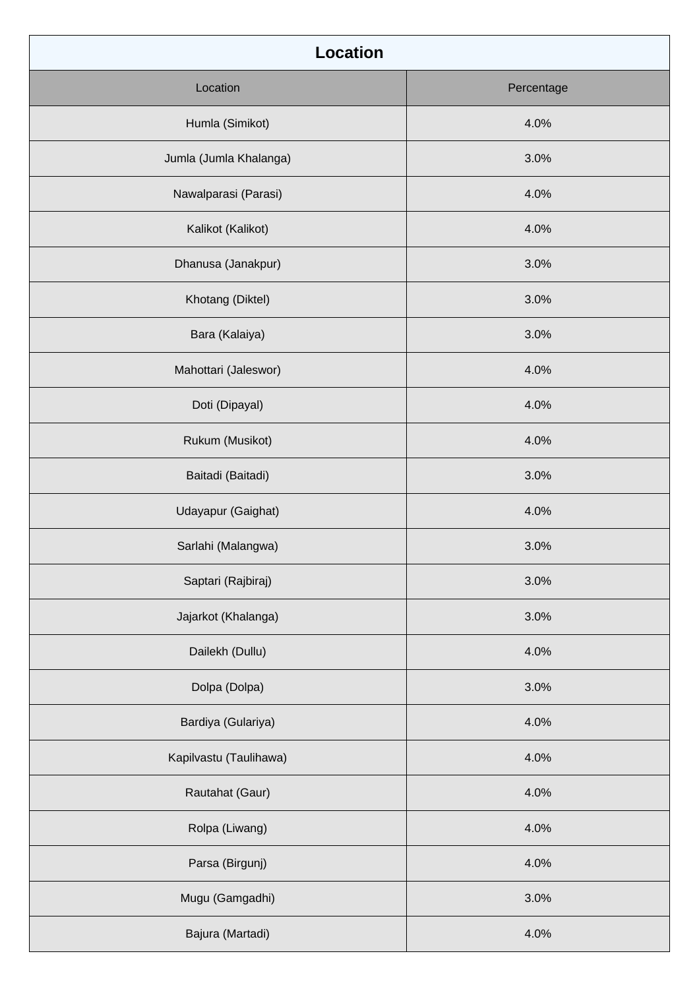| <b>Location</b>        |            |
|------------------------|------------|
| Location               | Percentage |
| Humla (Simikot)        | 4.0%       |
| Jumla (Jumla Khalanga) | 3.0%       |
| Nawalparasi (Parasi)   | 4.0%       |
| Kalikot (Kalikot)      | 4.0%       |
| Dhanusa (Janakpur)     | 3.0%       |
| Khotang (Diktel)       | 3.0%       |
| Bara (Kalaiya)         | 3.0%       |
| Mahottari (Jaleswor)   | 4.0%       |
| Doti (Dipayal)         | 4.0%       |
| Rukum (Musikot)        | 4.0%       |
| Baitadi (Baitadi)      | 3.0%       |
| Udayapur (Gaighat)     | 4.0%       |
| Sarlahi (Malangwa)     | 3.0%       |
| Saptari (Rajbiraj)     | 3.0%       |
| Jajarkot (Khalanga)    | 3.0%       |
| Dailekh (Dullu)        | 4.0%       |
| Dolpa (Dolpa)          | 3.0%       |
| Bardiya (Gulariya)     | 4.0%       |
| Kapilvastu (Taulihawa) | 4.0%       |
| Rautahat (Gaur)        | 4.0%       |
| Rolpa (Liwang)         | 4.0%       |
| Parsa (Birgunj)        | 4.0%       |
| Mugu (Gamgadhi)        | 3.0%       |
| Bajura (Martadi)       | 4.0%       |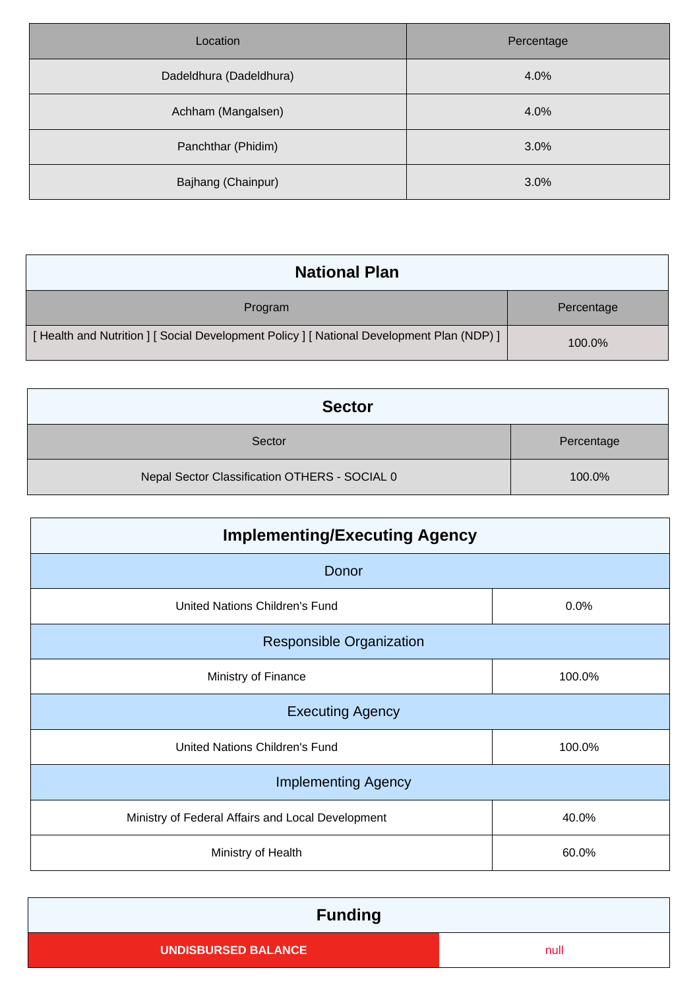| Location                | Percentage |
|-------------------------|------------|
| Dadeldhura (Dadeldhura) | 4.0%       |
| Achham (Mangalsen)      | 4.0%       |
| Panchthar (Phidim)      | 3.0%       |
| Bajhang (Chainpur)      | 3.0%       |

| <b>National Plan</b>                                                                    |            |
|-----------------------------------------------------------------------------------------|------------|
| Program                                                                                 | Percentage |
| [Health and Nutrition ] [Social Development Policy ] [National Development Plan (NDP) ] | 100.0%     |

| <b>Sector</b>                                 |            |
|-----------------------------------------------|------------|
| Sector                                        | Percentage |
| Nepal Sector Classification OTHERS - SOCIAL 0 | 100.0%     |

| <b>Implementing/Executing Agency</b>              |        |  |
|---------------------------------------------------|--------|--|
| Donor                                             |        |  |
| United Nations Children's Fund                    | 0.0%   |  |
| <b>Responsible Organization</b>                   |        |  |
| Ministry of Finance                               | 100.0% |  |
| <b>Executing Agency</b>                           |        |  |
| United Nations Children's Fund                    | 100.0% |  |
| <b>Implementing Agency</b>                        |        |  |
| Ministry of Federal Affairs and Local Development | 40.0%  |  |
| Ministry of Health                                | 60.0%  |  |

| <b>Funding</b>             |      |  |
|----------------------------|------|--|
| <b>UNDISBURSED BALANCE</b> | null |  |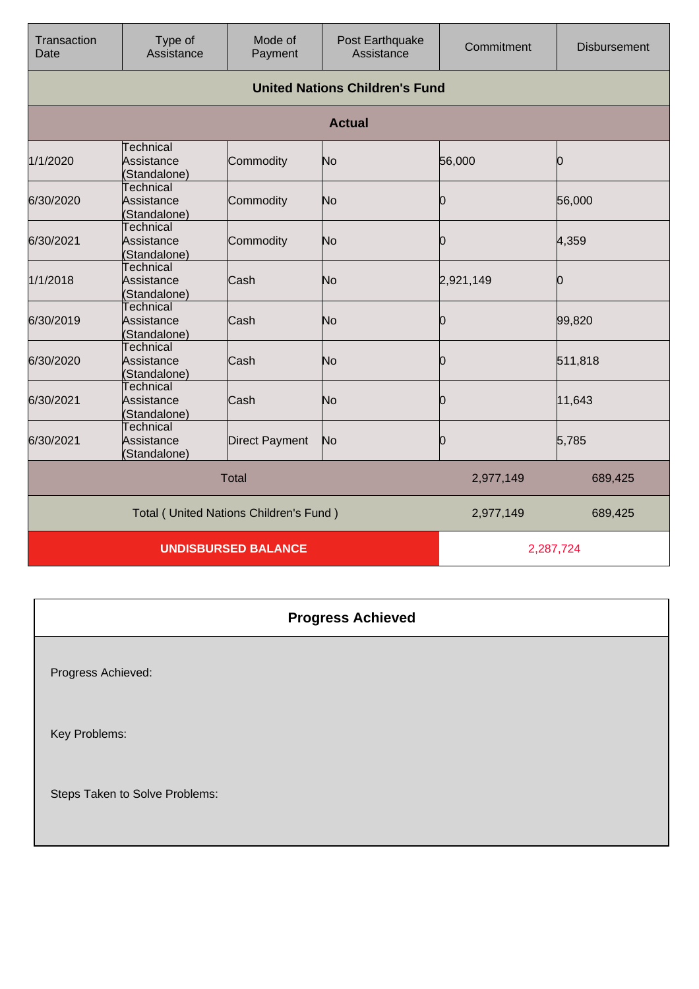| Transaction<br>Date                    | Type of<br>Assistance                          | Mode of<br>Payment         | Post Earthquake<br>Assistance | Commitment | <b>Disbursement</b> |
|----------------------------------------|------------------------------------------------|----------------------------|-------------------------------|------------|---------------------|
|                                        | <b>United Nations Children's Fund</b>          |                            |                               |            |                     |
|                                        |                                                |                            | <b>Actual</b>                 |            |                     |
| 1/1/2020                               | <b>Technical</b><br>Assistance<br>(Standalone) | Commodity                  | No                            | 56,000     | Ю                   |
| 6/30/2020                              | Technical<br>Assistance<br>(Standalone)        | Commodity                  | No                            | Ю          | 56,000              |
| 6/30/2021                              | <b>Technical</b><br>Assistance<br>(Standalone) | Commodity                  | No                            | Ю          | 4,359               |
| 1/1/2018                               | <b>Technical</b><br>Assistance<br>(Standalone) | Cash                       | No                            | 2,921,149  | 0                   |
| 6/30/2019                              | <b>Technical</b><br>Assistance<br>(Standalone) | Cash                       | No                            | 0          | 99,820              |
| 6/30/2020                              | <b>Technical</b><br>Assistance<br>(Standalone) | Cash                       | No                            | 0          | 511,818             |
| 6/30/2021                              | Technical<br>Assistance<br>(Standalone)        | Cash                       | No                            | Ю          | 11,643              |
| 6/30/2021                              | <b>Technical</b><br>Assistance<br>(Standalone) | <b>Direct Payment</b>      | No                            | Ю          | 5,785               |
|                                        |                                                | <b>Total</b>               |                               | 2,977,149  | 689,425             |
| Total (United Nations Children's Fund) |                                                |                            | 2,977,149                     | 689,425    |                     |
|                                        |                                                | <b>UNDISBURSED BALANCE</b> |                               |            | 2,287,724           |

| <b>Progress Achieved</b>       |
|--------------------------------|
| Progress Achieved:             |
| Key Problems:                  |
| Steps Taken to Solve Problems: |